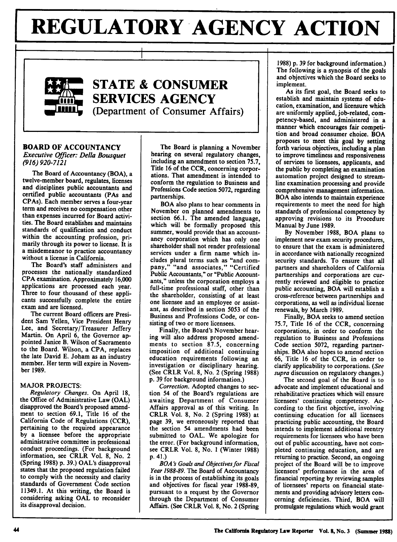# **REGULATORY AGENCY ACTION**



**STATE & CONSUMER SERVICES AGENCY** (Department of Consumer Affairs)

## **BOARD OF ACCOUNTANCY**

*Executive Officer: Della Bousquet* **(916) 920-7121**

The Board of Accountancy (BOA), a twelve-member board, regulates, licenses and disciplines public accountants and certified public accountants (PAs and CPAs). Each member serves a four-year term and receives no compensation other than expenses incurred for Board activities. The Board establishes and maintains standards of qualification and conduct within the accounting profession, primarily through its power to license. It is a misdemeanor to practice accountancy without a license in California.

The Board's staff administers and processes the nationally standardized **CPA** examination. Approximately **16,000** applications are processed each year. Three to four thousand of these applicants successfully complete the entire exam and are licensed.

The current Board officers are President Sam Yellen, Vice President Henry Lee, and Secretary/Treasurer Jeffery Martin. On April **6,** the Governor appointed Janice B. Wilson of Sacramento to the Board. Wilson, a **CPA,** replaces the late David **E.** Joham as an industry member. Her term will expire in November **1989.**

## MAJOR **PROJECTS:**

*Regulatory Changes.* On April **18,** the Office of Administrative Law **(OAL)** disapproved the Board's proposed amendment to section **69.1,** Title **16** of the California Code of Regulations (CCR), pertaining to the required appearance **by** a licensee before the appropriate administrative committee in professional conduct proceedings. (For background information, see CRLR Vol. **8,** No. 2 (Spring **1988) p. 39.)** OAL's disapproval states that the proposed regulation failed to comply with the necessity and clarity standards of Government Code section 11349.1. At this writing, the Board is considering asking **OAL** to reconsider its disapproval decision.

The Board is planning a November hearing on several regulatory changes, including an amendment to section **75.7,** Title **16** of the CCR, concerning corporations. That amendment is intended to conform the regulation to Business and Professions Code section **5072,** regarding partnerships.

BOA also plans to hear comments in November on planned amendments to section **66.1.** The amended language, which will be formally proposed this summer, would provide that an accountancy corporation which has only one shareholder shall not render professional services under a firm name which includes plural terms such as "and company," "and associates," "Certified Public Accountants," or "Public Accountants," unless the corporation employs a full-time professional staff, other than the shareholder, consisting of at least one licensee and an employee or assistant, as described in section **5053** of the Business and Professions Code, or consisting of two or more licensees.

Finally, the Board's November hearing will also address proposed amendments to section **87.5,** concerning imposition of additional continuing education requirements following an investigation or disciplinary hearing. (See CRLR Vol. **8,** No. 2 (Spring **1988) p. 39** for background information.)

*Correction.* Adopted changes to section 54 of the Board's regulations are awaiting Department of Consumer Affairs approval as of this writing. In CRLR Vol. **8,** No. 2 (Spring **1988)** at page **39,** we erroneously reported that the section 54 amendments had been submitted to **OAL.** We apologize for the error. (For background information, see CRLR Vol. **8,** No. **1** (Winter **1988) p.** 41.)

*BOA's Goals and Objectives for Fiscal Year 1988-89.* The Board of Accountancy is in the process of establishing its goals and objectives for fiscal year **1988-89,** pursuant to a request **by** the Governor through the Department of Consumer Affairs. (See CRLR Vol. **8,** No. 2 (Spring

**1988) p. 39** for background information.) The following is a synopsis of the goals and objectives which the Board seeks to implement.

As its first goal, the Board seeks to establish and maintain systems of education, examination, and licensure which are uniformly applied, job-related, competency-based, and administered in a manner which encourages fair competition and broad consumer choice. BOA proposes to meet this goal **by** setting forth various objectives, including a plan to improve timeliness and responsiveness of services to licensees, applicants, and the public **by** completing an examination automation project designed to streamline examination processing and provide comprehensive management information. BOA also intends to maintain experience requirements to meet the need for high standards of professional competency **by** approving revisions to its Procedure Manual **by** June **1989.**

**By** November **1988,** BOA plans to implement new exam security procedures, to ensure that the exam is administered in accordance with nationally recognized security standards. To ensure that all partners and shareholders of California partnerships and corporations are currently reviewed and eligible to practice public accounting, BOA will establish a cross-reference between partnerships and corporations, as well as individual license renewals, **by** March **1989.**

Finally, BOA seeks to amend section **75.7,** Title **16** of the CCR, concerning corporations, in order to conform the regulation to Business and Professions Code section **5072,** regarding partnerships. BOA also hopes to amend section **66,** Title **16** of the CCR, in order to clarify applicability to corporations. *(See supra* discussion on regulatory changes.)

The second goal of the Board is to advocate and implement educational and rehabilitative practices which will ensure licensees' continuing competency. According to the first objective, involving continuing education for all licensees practicing public accounting, the Board intends to implement additional reentry requirements for licensees who have been out of public accounting, have not completed continuing education, and are returning to practice. Second, an ongoing project of the Board will be to improve licensees' performance in the area of financial reporting **by** reviewing samples of licensees' reports on financial statements and providing advisory letters concerning deficiencies. Third, BOA will promulgate regulations which would grant